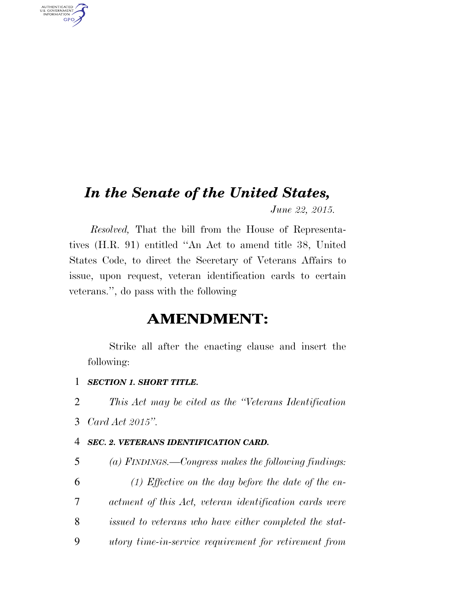## *In the Senate of the United States,*

*June 22, 2015.* 

*Resolved,* That the bill from the House of Representatives (H.R. 91) entitled ''An Act to amend title 38, United States Code, to direct the Secretary of Veterans Affairs to issue, upon request, veteran identification cards to certain veterans.'', do pass with the following

### **AMENDMENT:**

Strike all after the enacting clause and insert the following:

#### 1 *SECTION 1. SHORT TITLE.*

2 *This Act may be cited as the ''Veterans Identification* 

3 *Card Act 2015''.* 

AUTHENTICATED<br>U.S. GOVERNMENT<br>INFORMATION

**GPO** 

#### 4 *SEC. 2. VETERANS IDENTIFICATION CARD.*

 *(a) FINDINGS.—Congress makes the following findings: (1) Effective on the day before the date of the en- actment of this Act, veteran identification cards were issued to veterans who have either completed the stat-utory time-in-service requirement for retirement from*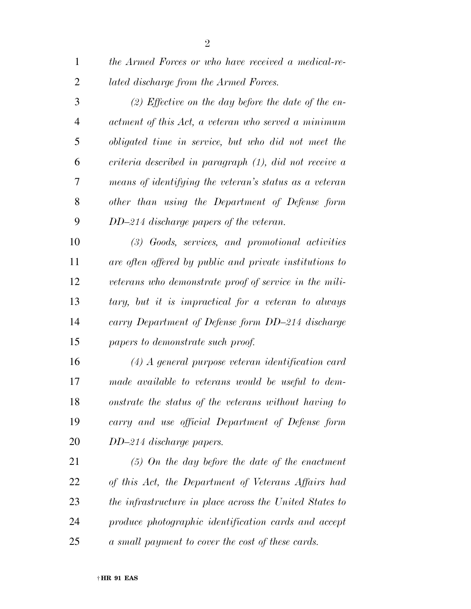*the Armed Forces or who have received a medical-re-lated discharge from the Armed Forces.* 

 *(2) Effective on the day before the date of the en- actment of this Act, a veteran who served a minimum obligated time in service, but who did not meet the criteria described in paragraph (1), did not receive a means of identifying the veteran's status as a veteran other than using the Department of Defense form DD–214 discharge papers of the veteran.* 

 *(3) Goods, services, and promotional activities are often offered by public and private institutions to veterans who demonstrate proof of service in the mili- tary, but it is impractical for a veteran to always carry Department of Defense form DD–214 discharge papers to demonstrate such proof.* 

 *(4) A general purpose veteran identification card made available to veterans would be useful to dem- onstrate the status of the veterans without having to carry and use official Department of Defense form DD–214 discharge papers.* 

 *(5) On the day before the date of the enactment of this Act, the Department of Veterans Affairs had the infrastructure in place across the United States to produce photographic identification cards and accept a small payment to cover the cost of these cards.*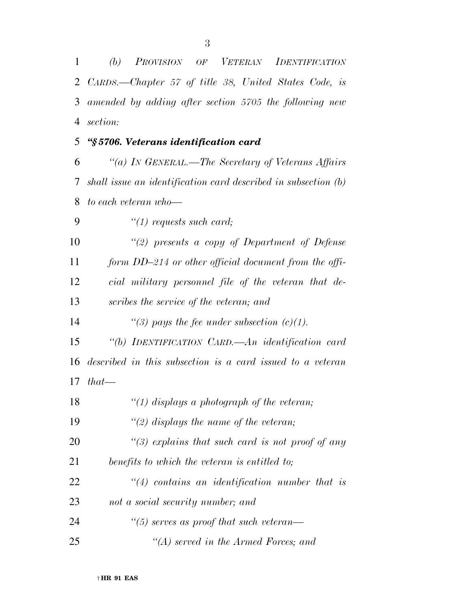*(b) PROVISION OF VETERAN IDENTIFICATION CARDS.—Chapter 57 of title 38, United States Code, is amended by adding after section 5705 the following new section: ''§ 5706. Veterans identification card ''(a) IN GENERAL.—The Secretary of Veterans Affairs shall issue an identification card described in subsection (b) to each veteran who—* 

 *''(1) requests such card; ''(2) presents a copy of Department of Defense form DD–214 or other official document from the offi- cial military personnel file of the veteran that de- scribes the service of the veteran; and ''(3) pays the fee under subsection (c)(1). ''(b) IDENTIFICATION CARD.—An identification card described in this subsection is a card issued to a veteran that— ''(1) displays a photograph of the veteran; ''(2) displays the name of the veteran; ''(3) explains that such card is not proof of any benefits to which the veteran is entitled to; ''(4) contains an identification number that is not a social security number; and ''(5) serves as proof that such veteran— ''(A) served in the Armed Forces; and*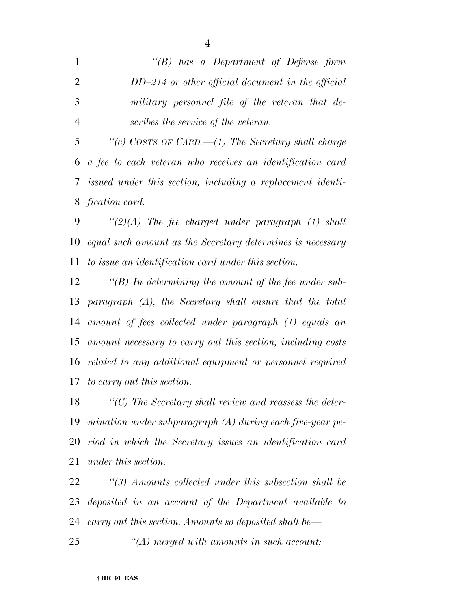*''(B) has a Department of Defense form DD–214 or other official document in the official military personnel file of the veteran that de-scribes the service of the veteran.* 

 *''(c) COSTS OF CARD.—(1) The Secretary shall charge a fee to each veteran who receives an identification card issued under this section, including a replacement identi-fication card.* 

 *''(2)(A) The fee charged under paragraph (1) shall equal such amount as the Secretary determines is necessary to issue an identification card under this section.* 

 *''(B) In determining the amount of the fee under sub- paragraph (A), the Secretary shall ensure that the total amount of fees collected under paragraph (1) equals an amount necessary to carry out this section, including costs related to any additional equipment or personnel required to carry out this section.* 

 *''(C) The Secretary shall review and reassess the deter- mination under subparagraph (A) during each five-year pe- riod in which the Secretary issues an identification card under this section.* 

 *''(3) Amounts collected under this subsection shall be deposited in an account of the Department available to carry out this section. Amounts so deposited shall be—* 

*''(A) merged with amounts in such account;*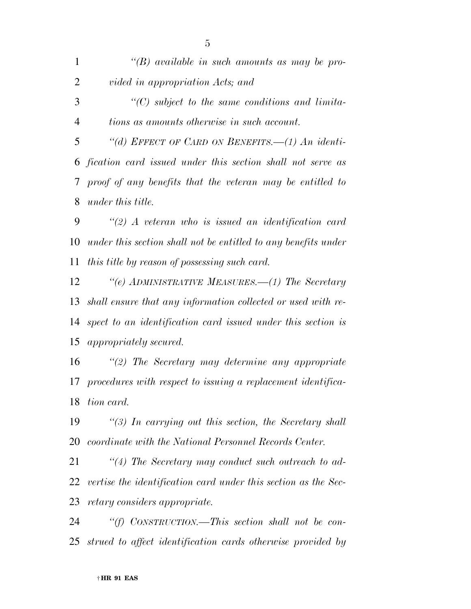*''(B) available in such amounts as may be pro- vided in appropriation Acts; and ''(C) subject to the same conditions and limita- tions as amounts otherwise in such account. ''(d) EFFECT OF CARD ON BENEFITS.—(1) An identi- fication card issued under this section shall not serve as proof of any benefits that the veteran may be entitled to under this title. ''(2) A veteran who is issued an identification card under this section shall not be entitled to any benefits under* 

*this title by reason of possessing such card.* 

 *''(e) ADMINISTRATIVE MEASURES.—(1) The Secretary shall ensure that any information collected or used with re- spect to an identification card issued under this section is appropriately secured.* 

 *''(2) The Secretary may determine any appropriate procedures with respect to issuing a replacement identifica-tion card.* 

 *''(3) In carrying out this section, the Secretary shall coordinate with the National Personnel Records Center.* 

 *''(4) The Secretary may conduct such outreach to ad- vertise the identification card under this section as the Sec-retary considers appropriate.* 

 *''(f) CONSTRUCTION.—This section shall not be con-strued to affect identification cards otherwise provided by*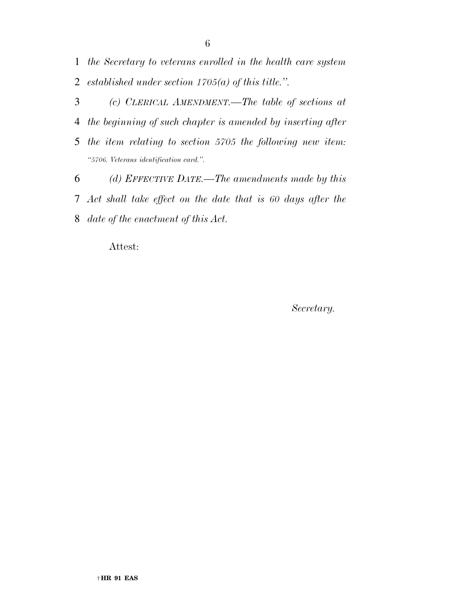*the Secretary to veterans enrolled in the health care system established under section 1705(a) of this title.''.* 

 *(c) CLERICAL AMENDMENT.—The table of sections at the beginning of such chapter is amended by inserting after the item relating to section 5705 the following new item: ''5706. Veterans identification card.''. (d) EFFECTIVE DATE.—The amendments made by this* 

 *Act shall take effect on the date that is 60 days after the date of the enactment of this Act.* 

Attest:

*Secretary.*